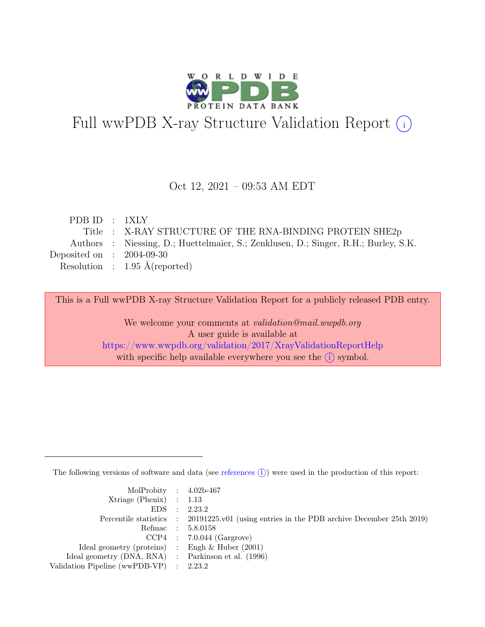

# Full wwPDB X-ray Structure Validation Report  $(i)$

#### Oct 12, 2021 – 09:53 AM EDT

| PDBID : 1XLY                |                                                                                     |
|-----------------------------|-------------------------------------------------------------------------------------|
|                             | Title : X-RAY STRUCTURE OF THE RNA-BINDING PROTEIN SHE2p                            |
|                             | Authors : Niessing, D.; Huettelmaier, S.; Zenklusen, D.; Singer, R.H.; Burley, S.K. |
| Deposited on : $2004-09-30$ |                                                                                     |
|                             | Resolution : $1.95 \text{ Å}$ (reported)                                            |
|                             |                                                                                     |

This is a Full wwPDB X-ray Structure Validation Report for a publicly released PDB entry.

We welcome your comments at validation@mail.wwpdb.org A user guide is available at <https://www.wwpdb.org/validation/2017/XrayValidationReportHelp> with specific help available everywhere you see the  $(i)$  symbol.

The following versions of software and data (see [references](https://www.wwpdb.org/validation/2017/XrayValidationReportHelp#references)  $(i)$ ) were used in the production of this report:

| MolProbity : $4.02b-467$                            |                                                                                            |
|-----------------------------------------------------|--------------------------------------------------------------------------------------------|
| $Xtriangle (Phenix)$ : 1.13                         |                                                                                            |
|                                                     | EDS : 2.23.2                                                                               |
|                                                     | Percentile statistics : 20191225.v01 (using entries in the PDB archive December 25th 2019) |
|                                                     | Refmac : 5.8.0158                                                                          |
|                                                     | $CCP4$ : 7.0.044 (Gargrove)                                                                |
| Ideal geometry (proteins) : Engh $\&$ Huber (2001)  |                                                                                            |
| Ideal geometry (DNA, RNA) : Parkinson et al. (1996) |                                                                                            |
| Validation Pipeline (wwPDB-VP) : $2.23.2$           |                                                                                            |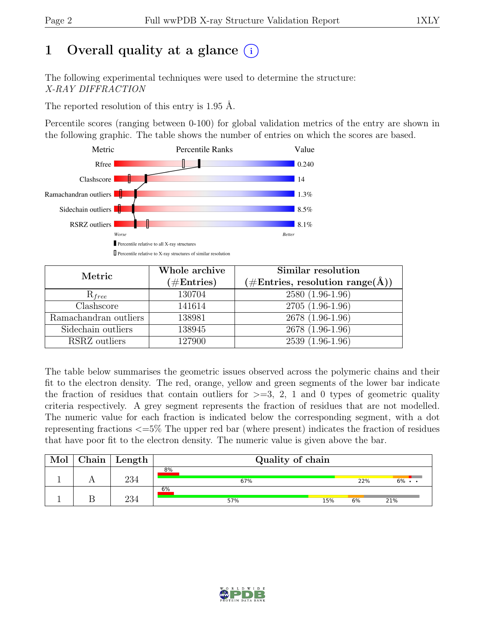# 1 Overall quality at a glance  $(i)$

The following experimental techniques were used to determine the structure: X-RAY DIFFRACTION

The reported resolution of this entry is 1.95 Å.

Percentile scores (ranging between 0-100) for global validation metrics of the entry are shown in the following graphic. The table shows the number of entries on which the scores are based.



| Metric                | Whole archive<br>$(\#Entries)$ | Similar resolution<br>$(\# \text{Entries}, \text{ resolution } \text{range}(\AA))$ |  |  |
|-----------------------|--------------------------------|------------------------------------------------------------------------------------|--|--|
| $R_{free}$            | 130704                         | $2580(1.96-1.96)$                                                                  |  |  |
| Clashscore            | 141614                         | $2705(1.96-1.96)$                                                                  |  |  |
| Ramachandran outliers | 138981                         | 2678 (1.96-1.96)                                                                   |  |  |
| Sidechain outliers    | 138945                         | 2678 (1.96-1.96)                                                                   |  |  |
| RSRZ outliers         | 127900                         | 2539 (1.96-1.96)                                                                   |  |  |

The table below summarises the geometric issues observed across the polymeric chains and their fit to the electron density. The red, orange, yellow and green segments of the lower bar indicate the fraction of residues that contain outliers for  $\geq$ =3, 2, 1 and 0 types of geometric quality criteria respectively. A grey segment represents the fraction of residues that are not modelled. The numeric value for each fraction is indicated below the corresponding segment, with a dot representing fractions <=5% The upper red bar (where present) indicates the fraction of residues that have poor fit to the electron density. The numeric value is given above the bar.

| Mol | ${\rm Chain}$ | Length | Quality of chain |     |     |       |  |  |
|-----|---------------|--------|------------------|-----|-----|-------|--|--|
|     |               | 234    | 8%<br>67%        |     | 22% | $6\%$ |  |  |
|     |               | ⊭ הר   | 6%<br>57%        | 15% | 6%  | 21%   |  |  |

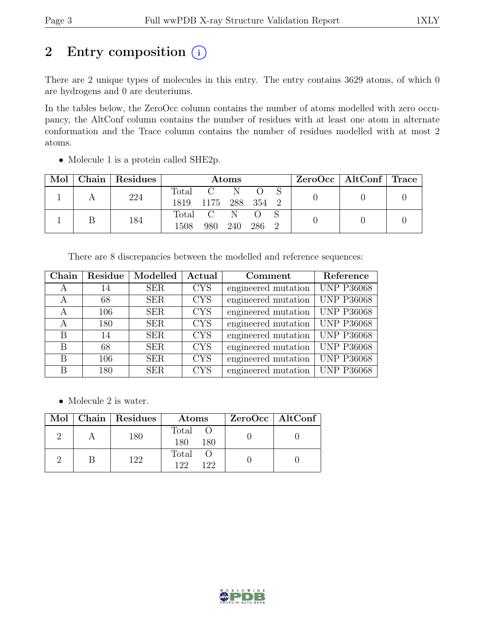## 2 Entry composition  $(i)$

There are 2 unique types of molecules in this entry. The entry contains 3629 atoms, of which 0 are hydrogens and 0 are deuteriums.

In the tables below, the ZeroOcc column contains the number of atoms modelled with zero occupancy, the AltConf column contains the number of residues with at least one atom in alternate conformation and the Trace column contains the number of residues modelled with at most 2 atoms.

| Mol |  | Chain   Residues    | <b>Atoms</b> |  |       |  |  | $ZeroOcc \mid AltConf \mid Trace$ |  |
|-----|--|---------------------|--------------|--|-------|--|--|-----------------------------------|--|
|     |  | 224                 | Total        |  |       |  |  |                                   |  |
|     |  | 1819 1175 288 354 2 |              |  |       |  |  |                                   |  |
|     |  | 184                 | Total C N    |  |       |  |  |                                   |  |
|     |  | 1508                | 980 240      |  | 286 2 |  |  |                                   |  |

• Molecule 1 is a protein called SHE2p.

There are 8 discrepancies between the modelled and reference sequences:

| Chain | Residue | Modelled   | Actual     | Comment             | Reference         |
|-------|---------|------------|------------|---------------------|-------------------|
| А     | 14      | <b>SER</b> | <b>CYS</b> | engineered mutation | <b>UNP P36068</b> |
| А     | 68      | <b>SER</b> | <b>CYS</b> | engineered mutation | <b>UNP P36068</b> |
| A     | 106     | <b>SER</b> | <b>CYS</b> | engineered mutation | <b>UNP P36068</b> |
| A     | 180     | <b>SER</b> | <b>CYS</b> | engineered mutation | <b>UNP P36068</b> |
| B     | 14      | <b>SER</b> | <b>CYS</b> | engineered mutation | <b>UNP P36068</b> |
| B     | 68      | <b>SER</b> | <b>CYS</b> | engineered mutation | <b>UNP P36068</b> |
| B     | 106     | <b>SER</b> | <b>CYS</b> | engineered mutation | <b>UNP P36068</b> |
| В     | 180     | <b>SER</b> | <b>CYS</b> | engineered mutation | <b>UNP P36068</b> |

• Molecule 2 is water.

|  | Mol   Chain   Residues | Atoms                 | ZeroOcc   AltConf |
|--|------------------------|-----------------------|-------------------|
|  | 180                    | Total O<br>180<br>180 |                   |
|  | 122                    | Total<br>199<br>122   |                   |

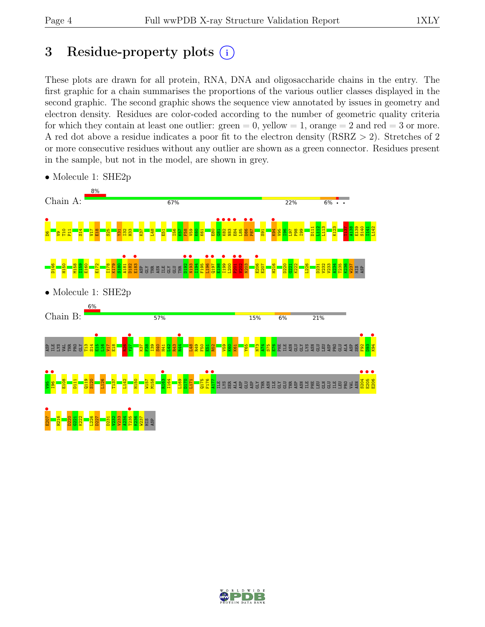## 3 Residue-property plots  $(i)$

These plots are drawn for all protein, RNA, DNA and oligosaccharide chains in the entry. The first graphic for a chain summarises the proportions of the various outlier classes displayed in the second graphic. The second graphic shows the sequence view annotated by issues in geometry and electron density. Residues are color-coded according to the number of geometric quality criteria for which they contain at least one outlier:  $green = 0$ , yellow  $= 1$ , orange  $= 2$  and red  $= 3$  or more. A red dot above a residue indicates a poor fit to the electron density (RSRZ > 2). Stretches of 2 or more consecutive residues without any outlier are shown as a green connector. Residues present in the sample, but not in the model, are shown in grey.



• Molecule 1: SHE2p

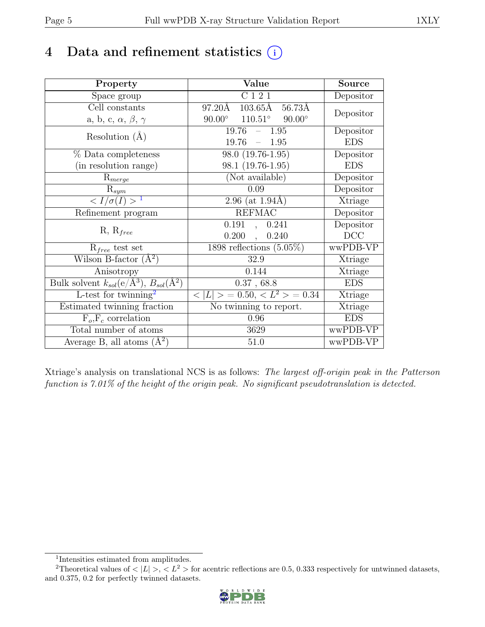### 4 Data and refinement statistics  $(i)$

| Property                                                             | Value                                              | <b>Source</b>  |
|----------------------------------------------------------------------|----------------------------------------------------|----------------|
| Space group                                                          | C121                                               | Depositor      |
| $\overline{Cell}$ constants                                          | 97.20Å<br>$103.65\text{\AA}$<br>$56.73\text{\AA}$  |                |
| a, b, c, $\alpha$ , $\beta$ , $\gamma$                               | $110.51^\circ$<br>$90.00^\circ$<br>$90.00^{\circ}$ | Depositor      |
| Resolution $(A)$                                                     | 19.76<br>$\equiv$<br>1.95                          | Depositor      |
|                                                                      | 19.76<br>$-1.95$                                   | <b>EDS</b>     |
| % Data completeness                                                  | 98.0 (19.76-1.95)                                  | Depositor      |
| (in resolution range)                                                | 98.1 (19.76-1.95)                                  | <b>EDS</b>     |
| $R_{merge}$                                                          | (Not available)                                    | Depositor      |
| $\mathrm{R}_{sym}$                                                   | 0.09                                               | Depositor      |
| $\langle I/\sigma(I) \rangle$ <sup>1</sup>                           | 2.96 (at $1.94\text{\AA}$ )                        | Xtriage        |
| Refinement program                                                   | <b>REFMAC</b>                                      | Depositor      |
|                                                                      | 0.191<br>0.241<br>$\overline{\phantom{a}}$         | Depositor      |
| $R, R_{free}$                                                        | 0.200<br>0.240<br>$\overline{\phantom{a}}$         | DCC            |
| $R_{free}$ test set                                                  | 1898 reflections $(5.05\%)$                        | wwPDB-VP       |
| Wilson B-factor $(A^2)$                                              | 32.9                                               | Xtriage        |
| Anisotropy                                                           | 0.144                                              | Xtriage        |
| Bulk solvent $k_{sol}(e/\mathring{A}^3)$ , $B_{sol}(\mathring{A}^2)$ | $0.37$ , $68.8\,$                                  | <b>EDS</b>     |
| L-test for $\mathrm{twinning}^2$                                     | $< L >$ = 0.50, $< L^2 >$ = 0.34                   | <b>Xtriage</b> |
| Estimated twinning fraction                                          | No twinning to report.                             | Xtriage        |
| $\overline{F_o,F_c}$ correlation                                     | 0.96                                               | <b>EDS</b>     |
| Total number of atoms                                                | 3629                                               | wwPDB-VP       |
| Average B, all atoms $(A^2)$                                         | 51.0                                               | wwPDB-VP       |

Xtriage's analysis on translational NCS is as follows: The largest off-origin peak in the Patterson function is 7.01% of the height of the origin peak. No significant pseudotranslation is detected.

<sup>&</sup>lt;sup>2</sup>Theoretical values of  $\langle |L| \rangle$ ,  $\langle L^2 \rangle$  for acentric reflections are 0.5, 0.333 respectively for untwinned datasets, and 0.375, 0.2 for perfectly twinned datasets.



<span id="page-4-1"></span><span id="page-4-0"></span><sup>1</sup> Intensities estimated from amplitudes.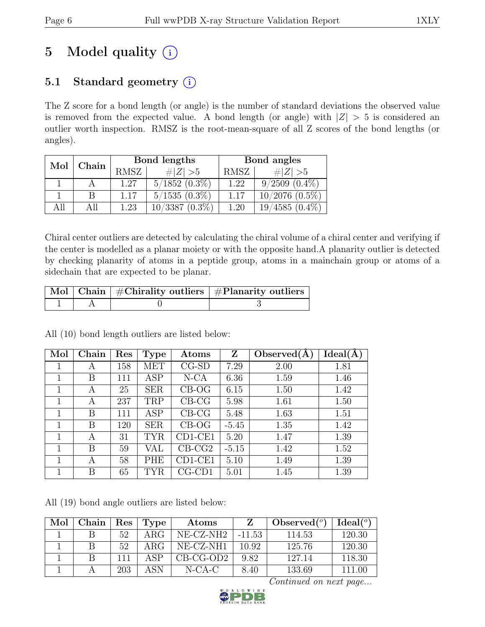# 5 Model quality  $(i)$

### 5.1 Standard geometry  $(i)$

The Z score for a bond length (or angle) is the number of standard deviations the observed value is removed from the expected value. A bond length (or angle) with  $|Z| > 5$  is considered an outlier worth inspection. RMSZ is the root-mean-square of all Z scores of the bond lengths (or angles).

| Mol | Chain |      | Bond lengths       | Bond angles |                     |  |
|-----|-------|------|--------------------|-------------|---------------------|--|
|     |       | RMSZ | $\# Z  > 5$        | RMSZ        | $\# Z  > 5$         |  |
|     |       | 1.27 | $5/1852$ $(0.3\%)$ | 1.22        | $9/2509$ $(0.4\%)$  |  |
|     | B     | 1.17 | $5/1535(0.3\%)$    | 1.17        | $10/2076$ $(0.5\%)$ |  |
| All | All   | 1.23 | $10/3387(0.3\%)$   | 1.20        | $19/4585(0.4\%)$    |  |

Chiral center outliers are detected by calculating the chiral volume of a chiral center and verifying if the center is modelled as a planar moiety or with the opposite hand.A planarity outlier is detected by checking planarity of atoms in a peptide group, atoms in a mainchain group or atoms of a sidechain that are expected to be planar.

|  | Mol   Chain   #Chirality outliers   #Planarity outliers |
|--|---------------------------------------------------------|
|  |                                                         |

All (10) bond length outliers are listed below:

| Mol | Chain | Res | <b>Type</b> | Atoms    | Z       | Observed $(A)$ | Ideal(A) |
|-----|-------|-----|-------------|----------|---------|----------------|----------|
|     | А     | 158 | MET         | $CG-SD$  | 7.29    | 2.00           | 1.81     |
|     | B     | 111 | ASP         | N-CA     | 6.36    | 1.59           | 1.46     |
|     | А     | 25  | <b>SER</b>  | $CB-OG$  | 6.15    | 1.50           | 1.42     |
| 1   | A     | 237 | TRP         | $CB-CG$  | 5.98    | 1.61           | 1.50     |
| 1   | B     | 111 | ASP         | $CB-CG$  | 5.48    | 1.63           | 1.51     |
| 1   | В     | 120 | <b>SER</b>  | $CB-OG$  | $-5.45$ | 1.35           | 1.42     |
| 1   | A     | 31  | <b>TYR</b>  | CD1-CE1  | 5.20    | 1.47           | 1.39     |
| 1   | B     | 59  | VAL         | $CB-CG2$ | $-5.15$ | 1.42           | 1.52     |
|     | A     | 58  | PHE         | CD1-CE1  | 5.10    | 1.49           | 1.39     |
|     | В     | 65  | <b>TYR</b>  | $CG-CD1$ | 5.01    | 1.45           | 1.39     |

All (19) bond angle outliers are listed below:

| Mol | Chain | Res | Type | Atoms                 | Z        | Observed $(°)$ | Ideal <sup>(o)</sup> |
|-----|-------|-----|------|-----------------------|----------|----------------|----------------------|
|     |       | 52  | ARG  | NE-CZ-NH <sub>2</sub> | $-11.53$ | 114.53         | 120.30               |
|     |       | 52  | ARG  | $NE- CZ-NH1$          | 10.92    | 125.76         | 120.30               |
|     |       | 111 | ΔSD  | $CB-CG-OD2$           | 9.82     | 127.14         | 118.30               |
|     |       | 203 | ASN  | $N-CA-C$              | 8.40     | 133.69         | 111.00               |

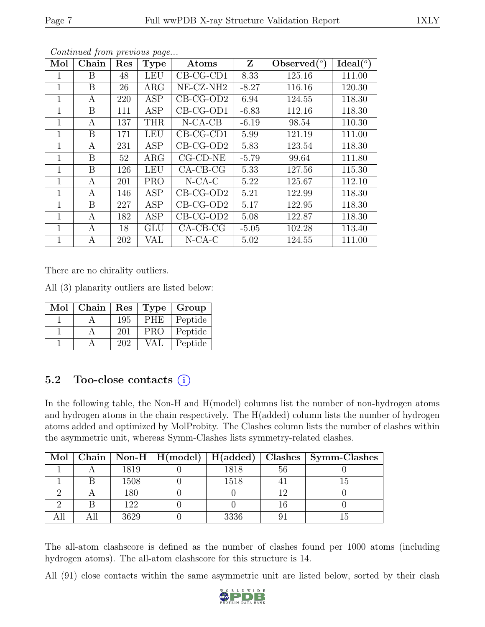| Mol         | Chain | Res | <b>Type</b> | Atoms                 | Z       | Observed $(°)$ | Ideal(°) |
|-------------|-------|-----|-------------|-----------------------|---------|----------------|----------|
| 1           | Β     | 48  | <b>LEU</b>  | $CB-CG-CD1$           | 8.33    | 125.16         | 111.00   |
| 1           | B     | 26  | $\rm{ARG}$  | NE-CZ-NH <sub>2</sub> | $-8.27$ | 116.16         | 120.30   |
| 1           | А     | 220 | ASP         | $CB-CG-OD2$           | 6.94    | 124.55         | 118.30   |
| $\mathbf 1$ | B     | 111 | ASP         | $CB-CG-OD1$           | $-6.83$ | 112.16         | 118.30   |
| 1           | А     | 137 | <b>THR</b>  | $N-CA-CB$             | $-6.19$ | 98.54          | 110.30   |
| 1           | B     | 171 | <b>LEU</b>  | $CB-CG-CD1$           | 5.99    | 121.19         | 111.00   |
| $\mathbf 1$ | А     | 231 | ASP         | $CB-CG-OD2$           | 5.83    | 123.54         | 118.30   |
| 1           | B     | 52  | $\rm{ARG}$  | $CG$ - $CD$ - $NE$    | $-5.79$ | 99.64          | 111.80   |
| 1           | B     | 126 | <b>LEU</b>  | $CA-CB-CG$            | 5.33    | 127.56         | 115.30   |
| $\mathbf 1$ | А     | 201 | <b>PRO</b>  | $N$ -CA-C             | 5.22    | 125.67         | 112.10   |
| 1           | А     | 146 | ASP         | $CB-CG-OD2$           | 5.21    | 122.99         | 118.30   |
| 1           | B     | 227 | <b>ASP</b>  | $CB-CG-OD2$           | 5.17    | 122.95         | 118.30   |
| $\mathbf 1$ | А     | 182 | ASP         | $CB-CG-OD2$           | 5.08    | 122.87         | 118.30   |
| 1           | А     | 18  | <b>GLU</b>  | $CA-CB-CG$            | $-5.05$ | 102.28         | 113.40   |
| 1           | А     | 202 | VAL         | $N-CA-C$              | 5.02    | 124.55         | 111.00   |

There are no chirality outliers.

All (3) planarity outliers are listed below:

| Mol | Chain | Res | Type       | Group   |
|-----|-------|-----|------------|---------|
|     |       | 195 | <b>PHE</b> | Peptide |
|     |       | 201 | <b>PRO</b> | Peptide |
|     |       | 202 | VAI        | Peptide |

### 5.2 Too-close contacts  $(i)$

In the following table, the Non-H and H(model) columns list the number of non-hydrogen atoms and hydrogen atoms in the chain respectively. The H(added) column lists the number of hydrogen atoms added and optimized by MolProbity. The Clashes column lists the number of clashes within the asymmetric unit, whereas Symm-Clashes lists symmetry-related clashes.

|  |      |      |    | Mol   Chain   Non-H   H(model)   H(added)   Clashes   Symm-Clashes |
|--|------|------|----|--------------------------------------------------------------------|
|  | 1819 | 1818 | 56 |                                                                    |
|  | 1508 | 1518 |    |                                                                    |
|  | 180  |      |    |                                                                    |
|  | 122  |      |    |                                                                    |
|  | 3629 | 3336 |    |                                                                    |

The all-atom clashscore is defined as the number of clashes found per 1000 atoms (including hydrogen atoms). The all-atom clashscore for this structure is 14.

All (91) close contacts within the same asymmetric unit are listed below, sorted by their clash

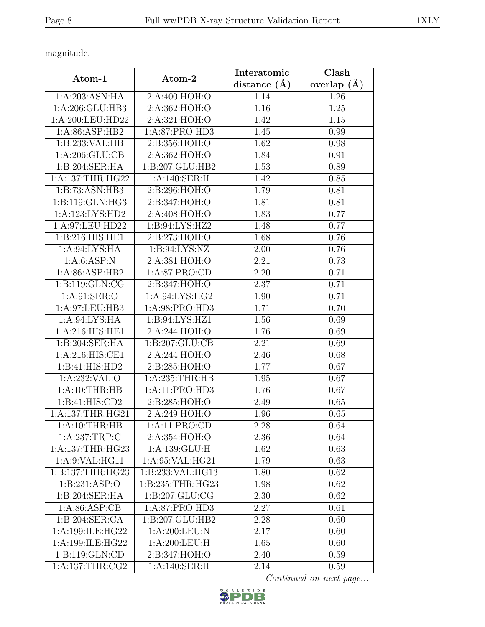magnitude.

|                             |                   | Interatomic    | Clash         |
|-----------------------------|-------------------|----------------|---------------|
| Atom-1                      | Atom-2            | distance $(A)$ | overlap $(A)$ |
| 1:A:203:ASN:HA              | 2:A:400:HOH:O     | 1.14           | 1.26          |
| 1:A:206:GLU:HB3             | 2:A:362:HOH:O     | 1.16           | 1.25          |
| 1:A:200:LEU:HD22            | 2:A:321:HOH:O     | 1.42           | 1.15          |
| 1:A:86:ASP:HB2              | 1: A:87: PRO:HD3  | 1.45           | 0.99          |
| 1:B:233:VAL:HB              | 2:B:356:HOH:O     | 1.62           | 0.98          |
| 1:A:206:GLU:CB              | 2:A:362:HOH:O     | 1.84           | 0.91          |
| 1:B:204:SER:HA              | 1:B:207:GLU:HB2   | 1.53           | 0.89          |
| 1: A: 137: THR: HG22        | 1:A:140:SER:H     | 1.42           | 0.85          |
| $1:B:73:ASN:H\overline{B3}$ | 2:B:296:HOH:O     | 1.79           | 0.81          |
| 1:B:119:GLN:HG3             | 2:B:347:HOH:O     | 1.81           | 0.81          |
| 1:A:123:LYS:HD2             | 2:A:408:HOH:O     | 1.83           | 0.77          |
| 1:A:97:LEU:HD22             | 1:B:94:LYS:HZ2    | 1.48           | 0.77          |
| 1:B:216:HIS:HE1             | 2:B:273:HOH:O     | 1.68           | 0.76          |
| 1: A:94: LYS: HA            | 1: B:94: LYS: NZ  | 2.00           | 0.76          |
| 1: A:6: ASP: N              | 2:A:381:HOH:O     | 2.21           | 0.73          |
| 1:A:86:ASP:HB2              | 1:A:87:PRO:CD     | 2.20           | 0.71          |
| 1:B:119:GLN:CG              | 2:B:347:HOH:O     | 2.37           | 0.71          |
| 1: A:91: SER:O              | 1: A:94: LYS: HG2 | 1.90           | 0.71          |
| 1:A:97:LEU:HB3              | 1:A:98:PRO:HD3    | 1.71           | 0.70          |
| 1: A:94: LYS: HA            | 1:B:94:LYS:HZ1    | 1.56           | 0.69          |
| 1:A:216:HIS:HE1             | 2:A:244:HOH:O     | 1.76           | 0.69          |
| 1:B:204:SER:HA              | 1:B:207:GLU:CB    | 2.21           | 0.69          |
| 1:A:216:HIS:CE1             | 2:A:244:HOH:O     | 2.46           | 0.68          |
| 1:B:41:HIS:HD2              | 2:B:285:HOH:O     | 1.77           | 0.67          |
| 1:A:232:VAL:O               | 1:A:235:THR:HB    | 1.95           | 0.67          |
| 1:A:10:THR:HB               | 1:A:11:PRO:HD3    | 1.76           | 0.67          |
| 1:B:41:HIS:CD2              | 2: B:285: HOH:O   | 2.49           | 0.65          |
| 1: A:137:THR:HG21           | 2:A:249:HOH:O     | 1.96           | 0.65          |
| 1:A:10:THR:HB               | 1:A:11:PRO:CD     | 2.28           | 0.64          |
| 1:A:237:TRP:C               | 2:A:354:HOH:O     | 2.36           | 0.64          |
| 1: A: 137: THR: HG23        | 1:A:139:GLU:H     | 1.62           | 0.63          |
| 1:A:9:VAL:HG11              | 1:A:95:VAL:HG21   | 1.79           | 0.63          |
| 1:B:137:THR:HG23            | 1:B:233:VAL:HG13  | 1.80           | 0.62          |
| 1: B: 231: ASP:O            | 1:B:235:THR:HG23  | 1.98           | 0.62          |
| 1:B:204:SER:HA              | 1:B:207:GLU:CG    | 2.30           | 0.62          |
| 1: A:86: ASP:CB             | 1:A:87:PRO:HD3    | 2.27           | 0.61          |
| 1:B:204:SER:CA              | 1:B:207:GLU:HB2   | 2.28           | 0.60          |
| 1:A:199:ILE:HG22            | 1: A:200:LEU: N   | 2.17           | 0.60          |
| 1:A:199:ILE:HG22            | 1:A:200:LEU:H     | 1.65           | 0.60          |
| 1:B:119:GLN:CD              | 2: B: 347: HOH: O | 2.40           | 0.59          |
| 1:A:137:THR:CG2             | 1:A:140:SER:H     | 2.14           | 0.59          |

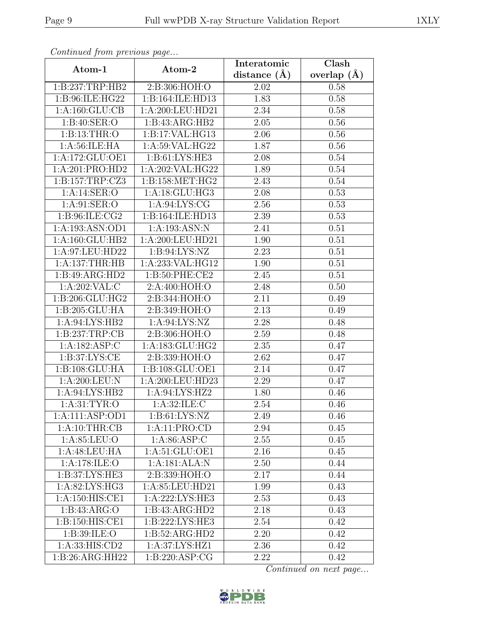| Continued from previous page |                    | Interatomic      | Clash           |
|------------------------------|--------------------|------------------|-----------------|
| Atom-1                       | Atom-2             | distance $(\AA)$ | overlap $(\AA)$ |
| 1:B:237:TRP:HB2              | 2:B:306:HOH:O      | 2.02             | 0.58            |
| 1:B:96:ILE:HG22              | 1:B:164:ILE:HD13   | 1.83             | 0.58            |
| 1: A: 160: GLU: CB           | 1:A:200:LEU:HD21   | 2.34             | 0.58            |
| 1: B:40: SER:O               | 1:B:43:ARG:HB2     | 2.05             | 0.56            |
| 1:B:13:THR:O                 | 1:B:17:VAL:HG13    | 2.06             | 0.56            |
| 1: A:56: ILE: HA             | 1:A:59:VAL:HG22    | 1.87             | 0.56            |
| 1:A:172:GLU:OE1              | 1: B: 61: LYS: HE3 | 2.08             | 0.54            |
| 1:A:201:PRO:HD2              | 1:A:202:VAL:HG22   | 1.89             | 0.54            |
| 1:B:157:TRP:CZ3              | 1:B:158:MET:HG2    | 2.43             | 0.54            |
| 1:A:14:SER:O                 | 1:A:18:GLU:HG3     | 2.08             | 0.53            |
| 1: A:91: SER:O               | 1: A:94: LYS: CG   | 2.56             | 0.53            |
| 1: B:96: ILE: CG2            | 1:B:164:ILE:HD13   | 2.39             | 0.53            |
| 1:A:193:ASN:OD1              | 1:A:193:ASN:N      | 2.41             | 0.51            |
| 1:A:160:GLU:HB2              | 1:A:200:LEU:HD21   | 1.90             | 0.51            |
| 1:A:97:LEU:HD22              | 1: B:94: LYS: NZ   | 2.23             | 0.51            |
| 1: A: 137: THR: HB           | 1:A:233:VAL:HG12   | 1.90             | 0.51            |
| $1:B:49: \overline{ARG:HD2}$ | 1:B:50:PHE:CE2     | 2.45             | 0.51            |
| 1:A:202:VAL:C                | 2:A:400:HOH:O      | 2.48             | 0.50            |
| 1:B:206:GLU:HG2              | 2:B:344:HOH:O      | 2.11             | 0.49            |
| 1:B:205:GLU:HA               | 2:B:349:HOH:O      | 2.13             | 0.49            |
| 1: A:94: LYS: HB2            | 1: A:94: LYS: NZ   | 2.28             | 0.48            |
| 1:B:237:TRP:CB               | 2:B:306:HOH:O      | 2.59             | 0.48            |
| 1:A:182:ASP:C                | 1:A:183:GLU:HG2    | 2.35             | 0.47            |
| 1: B:37: LYS: CE             | 2:B:339:HOH:O      | 2.62             | 0.47            |
| 1:B:108:GLU:HA               | 1:B:108:GLU:OE1    | 2.14             | 0.47            |
| 1:A:200:LEU:N                | 1:A:200:LEU:HD23   | 2.29             | 0.47            |
| 1:A:94:LYS:HB2               | 1:A:94:LYS:HZ2     | 1.80             | 0.46            |
| 1: A:31: TYR:O               | 1: A:32: ILE:C     | 2.54             | 0.46            |
| 1:A:111:ASP:OD1              | 1: B: 61: LYS: NZ  | 2.49             | 0.46            |
| 1:A:10:THR:CB                | 1:A:11:PRO:CD      | 2.94             | 0.45            |
| 1: A:85: LEU:O               | 1: A:86: ASP:C     | 2.55             | 0.45            |
| 1:A:48:LEU:HA                | 1: A:51: GLU:OE1   | 2.16             | 0.45            |
| 1:A:178:ILE:O                | 1:A:181:ALA:N      | 2.50             | 0.44            |
| 1:B:37:LYS:HE3               | 2:B:339:HOH:O      | 2.17             | 0.44            |
| 1:A:82:LYS:HG3               | 1:A:85:LEU:HD21    | 1.99             | 0.43            |
| 1:A:150:HIS:CE1              | 1:A:222:LYS:HE3    | 2.53             | 0.43            |
| 1:B:43:ARG:O                 | 1:B:43:ARG:HD2     | 2.18             | 0.43            |
| 1:B:150:HIS:CE1              | 1:B:222:LYS:HE3    | 2.54             | 0.42            |
| 1: B:39: ILE: O              | 1:B:52:ARG:HD2     | 2.20             | 0.42            |
| 1:A:33:HIS:CD2               | 1: A:37: LYS: HZ1  | 2.36             | 0.42            |
| 1:B:26:ARG:HH22              | 1:B:220:ASP:CG     | 2.22             | 0.42            |

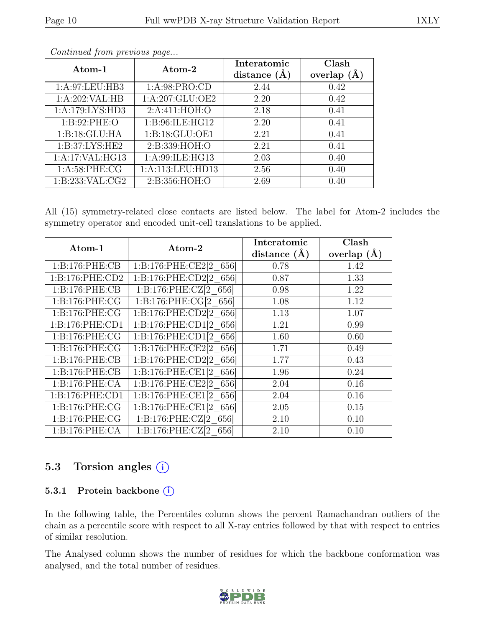| Atom-1              | Atom-2             | Interatomic<br>distance $(\AA)$ | Clash<br>overlap $(A)$ |
|---------------------|--------------------|---------------------------------|------------------------|
| 1: A:97: LEU:HB3    | 1: A:98: PRO:CD    | 2.44                            | 0.42                   |
| 1:A:202:VAL:HB      | 1:A:207:GLU:OE2    | 2.20                            | 0.42                   |
| 1:A:179:LYS:HD3     | 2: A:411: HOH:O    | 2.18                            | 0.41                   |
| 1: B:92: PHE:O      | 1:B:96:ILE:HG12    | 2.20                            | 0.41                   |
| 1:B:18:GLU:HA       | 1:B:18:GLU:OE1     | 2.21                            | 0.41                   |
| 1: B:37: LYS: HE2   | 2:B:339:HOH:O      | 2.21                            | 0.41                   |
| 1:A:17:VAL:HG13     | 1: A:99: ILE: HG13 | 2.03                            | 0.40                   |
| 1: A:58:PHE:CG      | 1:A:113:LEU:HD13   | 2.56                            | 0.40                   |
| 1: B: 233: VAL: CG2 | 2:B:356:HOH:O      | 2.69                            | 0.40                   |

All (15) symmetry-related close contacts are listed below. The label for Atom-2 includes the symmetry operator and encoded unit-cell translations to be applied.

| Atom-1             | $\rm{Atom}\text{-}2$               | Interatomic      | <b>Clash</b>    |
|--------------------|------------------------------------|------------------|-----------------|
|                    |                                    | distance $(\AA)$ | overlap $(\AA)$ |
| 1:B:176:PHE:CB     | 1:B:176:PHE:CE2[2 656]             | 0.78             | 1.42            |
| 1:B:176:PHE:CD2    | 1:B:176:PHE:CD2[2 656]             | 0.87             | 1.33            |
| 1: B: 176: PHE: CB | 1:B:176:PHE:CZ[2 656]              | 0.98             | 1.22            |
| 1: B: 176: PHE: CG | 1:B:176:PHE:CG[2 656]              | 1.08             | 1.12            |
| 1:B:176:PHE:CG     | 1:B:176:PHE:CD2[2 656]             | 1.13             | 1.07            |
| 1:B:176:PHE:CD1    | 1:B:176:PHE:CD1[2 656]             | 1.21             | 0.99            |
| 1:B:176:PHE:CG     | 1:B:176:PHE:CD1[2 656]             | 1.60             | 0.60            |
| 1:B:176:PHE:CG     | 1:B:176:PHE:CE2[2 656]             | 1.71             | 0.49            |
| 1: B: 176: PHE: CB | $1:B:176:PHE:CD2[2]$ 656           | 1.77             | 0.43            |
| 1: B: 176: PHE: CB | 1:B:176:PHE:CE1[2 656]             | 1.96             | 0.24            |
| 1: B: 176: PHE: CA | 1:B:176:PHE:CE2 <sup>[2</sup> 656] | 2.04             | 0.16            |
| 1:B:176:PHE:CD1    | 1:B:176:PHE:CE1[2 656]             | 2.04             | 0.16            |
| 1:B:176:PHE:CG     | 1:B:176:PHE:CE1[2 656]             | 2.05             | 0.15            |
| 1:B:176:PHE:CG     | 1:B:176:PHE:CZ[2 656]              | 2.10             | 0.10            |
| 1:B:176:PHE:CA     | 1:B:176:PHE:CZ[2 656]              | 2.10             | 0.10            |

### 5.3 Torsion angles (i)

#### 5.3.1 Protein backbone (i)

In the following table, the Percentiles column shows the percent Ramachandran outliers of the chain as a percentile score with respect to all X-ray entries followed by that with respect to entries of similar resolution.

The Analysed column shows the number of residues for which the backbone conformation was analysed, and the total number of residues.

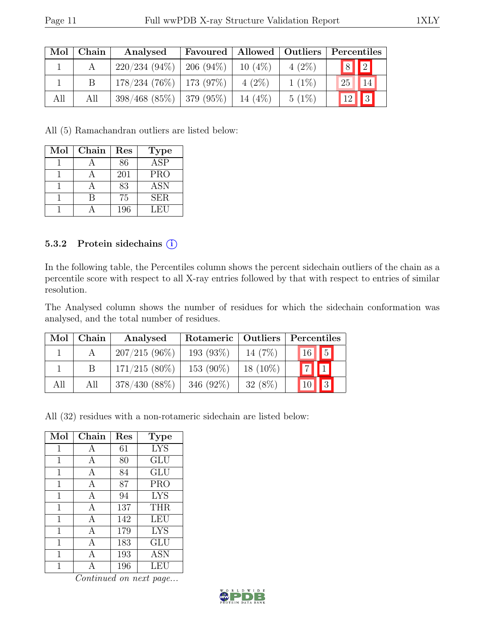| Mol | Chain | Analysed                      |           |          | Favoured   Allowed   Outliers   Percentiles |
|-----|-------|-------------------------------|-----------|----------|---------------------------------------------|
|     |       | $220/234$ (94\%)   206 (94\%) | $10(4\%)$ | $4(2\%)$ | $\boxed{8}$ $\boxed{2}$                     |
|     |       | $178/234$ (76\%)   173 (97\%) | $4(2\%)$  | $1(1\%)$ | 14<br>25                                    |
| All | All   | $398/468$ (85\%)   379 (95\%) | 14 $(4%)$ | $5(1\%)$ | $\sqrt{3}$<br>12                            |

All (5) Ramachandran outliers are listed below:

| Mol | Chain | Res | <b>Type</b>             |
|-----|-------|-----|-------------------------|
|     |       | 86  | $\overline{\text{ASP}}$ |
|     |       | 201 | <b>PRO</b>              |
|     |       | 83  | ASN                     |
|     |       | 75  | <b>SER</b>              |
|     |       | 196 | LEU                     |

#### 5.3.2 Protein sidechains (i)

In the following table, the Percentiles column shows the percent sidechain outliers of the chain as a percentile score with respect to all X-ray entries followed by that with respect to entries of similar resolution.

The Analysed column shows the number of residues for which the sidechain conformation was analysed, and the total number of residues.

| Mol | Chain | Analysed        | Rotameric   Outliers |            | Percentiles |            |
|-----|-------|-----------------|----------------------|------------|-------------|------------|
|     |       | $207/215(96\%)$ | 193(93%)             | 14 $(7%)$  | 16 5        |            |
|     |       | $171/215(80\%)$ | $153(90\%)$          | $18(10\%)$ | $\boxed{7}$ |            |
| All | All   | $378/430(88\%)$ | 346 $(92\%)$         | $32(8\%)$  |             | $\sqrt{3}$ |

All (32) residues with a non-rotameric sidechain are listed below:

| Mol         | Chain | Res | <b>Type</b> |
|-------------|-------|-----|-------------|
| 1           | А     | 61  | <b>LYS</b>  |
| 1           | А     | 80  | GLU         |
| 1           | A     | 84  | GLU         |
| 1           | A     | 87  | <b>PRO</b>  |
| $\mathbf 1$ | А     | 94  | <b>LYS</b>  |
| 1           | А     | 137 | <b>THR</b>  |
| 1           | А     | 142 | <b>LEU</b>  |
| 1           | A     | 179 | <b>LYS</b>  |
| 1           | A     | 183 | GLU         |
| 1           | A     | 193 | <b>ASN</b>  |
|             |       | 196 | LEU         |

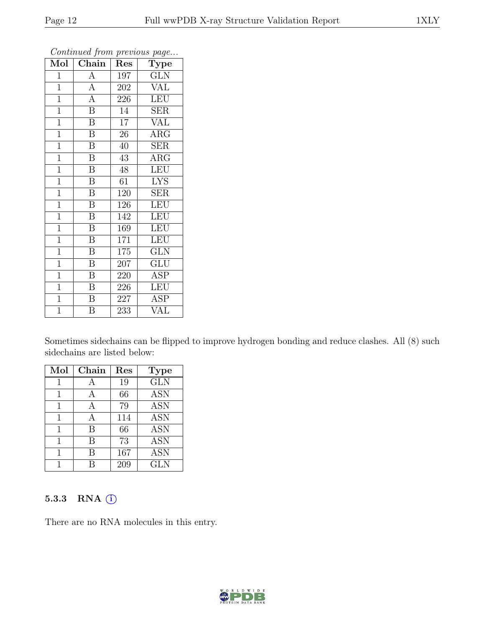| $Mol \mid$     | Chain                   | Res             | <b>Type</b>             |
|----------------|-------------------------|-----------------|-------------------------|
| $\mathbf{1}$   | $\boldsymbol{A}$        | 197             | <b>GLN</b>              |
| $\mathbf{1}$   | $\overline{A}$          | 202             | <b>VAL</b>              |
| $\mathbf{1}$   | $\overline{A}$          | 226             | LEU                     |
| $\overline{1}$ | $\overline{\mathrm{B}}$ | 14              | <b>SER</b>              |
| $\overline{1}$ | $\overline{\mathrm{B}}$ | $\overline{17}$ | $\overline{\text{VAL}}$ |
| $\mathbf{1}$   | B                       | 26              | $\rm{ARG}$              |
| $\mathbf{1}$   | $\overline{\mathrm{B}}$ | 40              | $\overline{\text{SER}}$ |
| $\mathbf{1}$   | $\overline{B}$          | 43              | $\rm{ARG}$              |
| $\mathbf{1}$   | $\boldsymbol{B}$        | 48              | <b>LEU</b>              |
| $\overline{1}$ | $\overline{\mathrm{B}}$ | $\overline{61}$ | $\overline{\text{LYS}}$ |
| $\mathbf{1}$   | $\, {\bf B}$            | 120             | <b>SER</b>              |
| $\overline{1}$ | $\overline{\mathrm{B}}$ | 126             | LEU                     |
| $\overline{1}$ | $\overline{B}$          | 142             | LEU                     |
| $\mathbf{1}$   | $\boldsymbol{B}$        | 169             | LEU                     |
| $\mathbf{1}$   | $\overline{\mathrm{B}}$ | 171             | LEU                     |
| $\mathbf{1}$   | B                       | 175             | <b>GLN</b>              |
| $\mathbf{1}$   | $\overline{\mathrm{B}}$ | 207             | GLU                     |
| $\mathbf{1}$   | $\overline{\mathbf{B}}$ | 220             | ASP                     |
| $\mathbf{1}$   | B                       | 226             | LEU                     |
| $\overline{1}$ | $\overline{\mathrm{B}}$ | 227             | <b>ASP</b>              |
| $\overline{1}$ | $\overline{\mathrm{B}}$ | 233             | VAL                     |

Sometimes sidechains can be flipped to improve hydrogen bonding and reduce clashes. All (8) such sidechains are listed below:

| Mol | Chain | Res | <b>Type</b>      |
|-----|-------|-----|------------------|
| 1   |       | 19  | <b>GLN</b>       |
| 1   | A     | 66  | <b>ASN</b>       |
| 1   | А     | 79  | $\overline{ASN}$ |
| 1   | А     | 114 | <b>ASN</b>       |
|     | В     | 66  | <b>ASN</b>       |
|     | В     | 73  | <b>ASN</b>       |
|     | В     | 167 | <b>ASN</b>       |
|     |       | 209 | <b>GLN</b>       |

#### 5.3.3 RNA (i)

There are no RNA molecules in this entry.

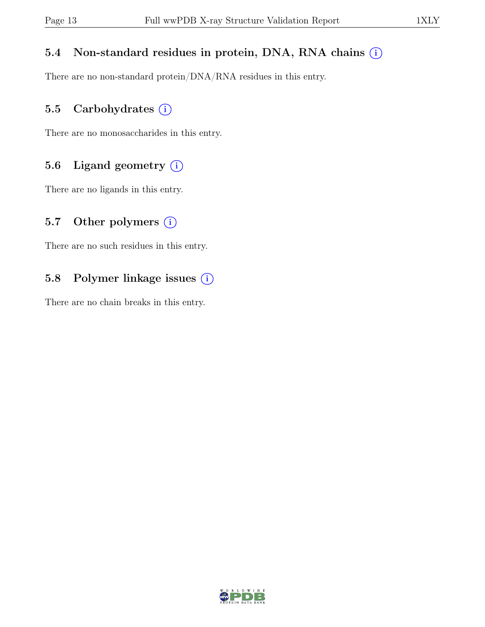#### 5.4 Non-standard residues in protein, DNA, RNA chains  $(i)$

There are no non-standard protein/DNA/RNA residues in this entry.

#### 5.5 Carbohydrates  $(i)$

There are no monosaccharides in this entry.

#### 5.6 Ligand geometry  $(i)$

There are no ligands in this entry.

#### 5.7 Other polymers  $(i)$

There are no such residues in this entry.

#### 5.8 Polymer linkage issues (i)

There are no chain breaks in this entry.

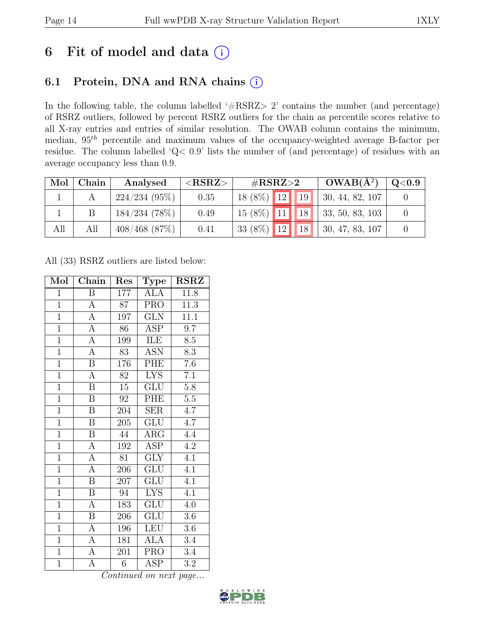## 6 Fit of model and data  $(i)$

### 6.1 Protein, DNA and RNA chains (i)

In the following table, the column labelled ' $\#\text{RSRZ}>2$ ' contains the number (and percentage) of RSRZ outliers, followed by percent RSRZ outliers for the chain as percentile scores relative to all X-ray entries and entries of similar resolution. The OWAB column contains the minimum, median,  $95<sup>th</sup>$  percentile and maximum values of the occupancy-weighted average B-factor per residue. The column labelled 'Q< 0.9' lists the number of (and percentage) of residues with an average occupancy less than 0.9.

| Mol | Chain | Analysed         | $<$ RSRZ $>$ | $\#\text{RSRZ}\text{>2}$ | $OWAB(A^2)$                     | $\mathrm{Q}{<}0.9$ |
|-----|-------|------------------|--------------|--------------------------|---------------------------------|--------------------|
|     |       | 224/234(95%)     | 0.35         | $18(8\%)$ 12 19          | $\vert 30, 44, 82, 107 \vert$   |                    |
|     |       | 184/234(78%)     | 0.49         |                          | $15(8\%)$ 11 18 33, 50, 83, 103 |                    |
| All | All   | $408/468$ (87\%) | 0.41         | 33 (8%) $12$ 18          | $\vert 30, 47, 83, 107 \vert$   |                    |

All (33) RSRZ outliers are listed below:

| Mol            | Chain                   | Res              | Type                      | <b>RSRZ</b>      |
|----------------|-------------------------|------------------|---------------------------|------------------|
| $\mathbf{1}$   | Β                       | 177              | ALA                       | 11.8             |
| $\overline{1}$ | $\boldsymbol{A}$        | 87               | <b>PRO</b>                | 11.3             |
| $\overline{1}$ | $\overline{A}$          | 197              | GLN                       | 11.1             |
| $\overline{1}$ | $\overline{A}$          | 86               | <b>ASP</b>                | 9.7              |
| $\overline{1}$ | $\overline{A}$          | 199              | <b>ILE</b>                | $\overline{8.5}$ |
| $\overline{1}$ | $\overline{A}$          | 83               | <b>ASN</b>                | 8.3              |
| $\overline{1}$ | $\overline{\mathrm{B}}$ | 176              | PHE                       | 7.6              |
| $\overline{1}$ | $\overline{A}$          | 82               | <b>LYS</b>                | $\overline{7.1}$ |
| $\overline{1}$ | $\overline{\mathrm{B}}$ | $\overline{15}$  | <b>GLU</b>                | 5.8              |
| $\overline{1}$ | $\overline{\mathrm{B}}$ | $\overline{92}$  | PHE                       | $\overline{5.5}$ |
| $\overline{1}$ | $\overline{B}$          | 204              | $\overline{\text{SER}}$   | $\overline{4.7}$ |
| $\overline{1}$ | $\overline{\mathrm{B}}$ | 205              | $\overline{\mathrm{GLU}}$ | $\overline{4.7}$ |
| $\overline{1}$ | $\overline{B}$          | 44               | $\rm{ARG}$                | 4.4              |
| $\overline{1}$ | $\overline{A}$          | 192              | $\overline{\text{ASP}}$   | $4.\overline{2}$ |
| $\overline{1}$ | $\overline{A}$          | $\overline{81}$  | $\overline{\text{GLY}}$   | $\overline{4.1}$ |
| $\overline{1}$ | $\overline{A}$          | 206              | $\overline{{\rm GLU}}$    | $\overline{4.1}$ |
| $\overline{1}$ | $\overline{\mathrm{B}}$ | $\overline{207}$ | $\overline{\mathrm{GLU}}$ | $\overline{4.1}$ |
| $\overline{1}$ | $\boldsymbol{B}$        | 94               | <b>LYS</b>                | $\overline{4.1}$ |
| $\overline{1}$ | $\overline{A}$          | 183              | $\overline{\text{GLU}}$   | $4.\overline{0}$ |
| $\overline{1}$ | $\overline{\mathrm{B}}$ | 206              | <b>GLU</b>                | $\overline{3.6}$ |
| $\overline{1}$ | $\overline{A}$          | 196              | <b>LEU</b>                | 3.6              |
| $\overline{1}$ | А                       | 181              | ALA                       | 3.4              |
| $\mathbf{1}$   | $\boldsymbol{\rm{A}}$   | 201              | <b>PRO</b>                | $3.4\,$          |
| $\mathbf{1}$   | А                       | $\overline{6}$   | $\overline{\text{ASP}}$   | 3.2              |